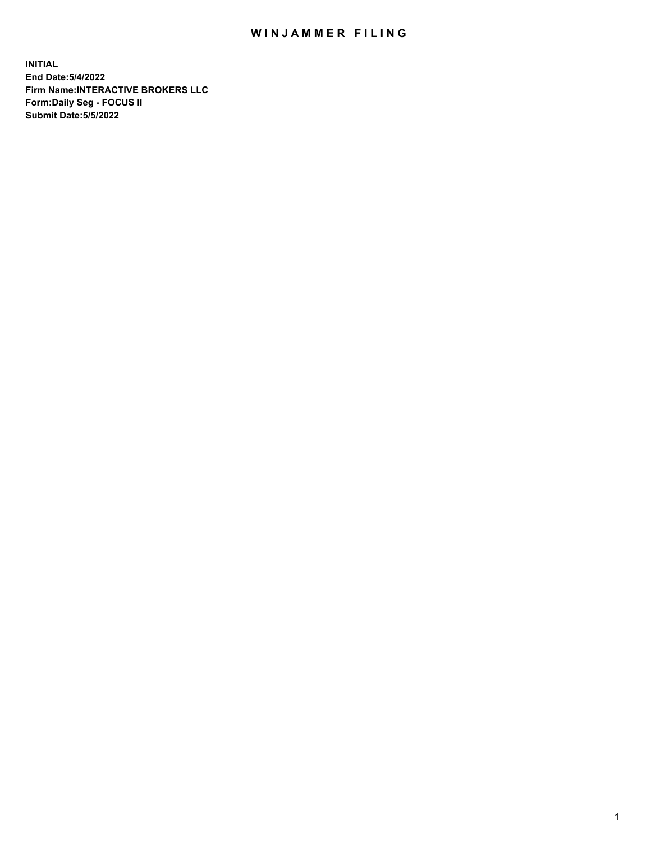## WIN JAMMER FILING

**INITIAL End Date:5/4/2022 Firm Name:INTERACTIVE BROKERS LLC Form:Daily Seg - FOCUS II Submit Date:5/5/2022**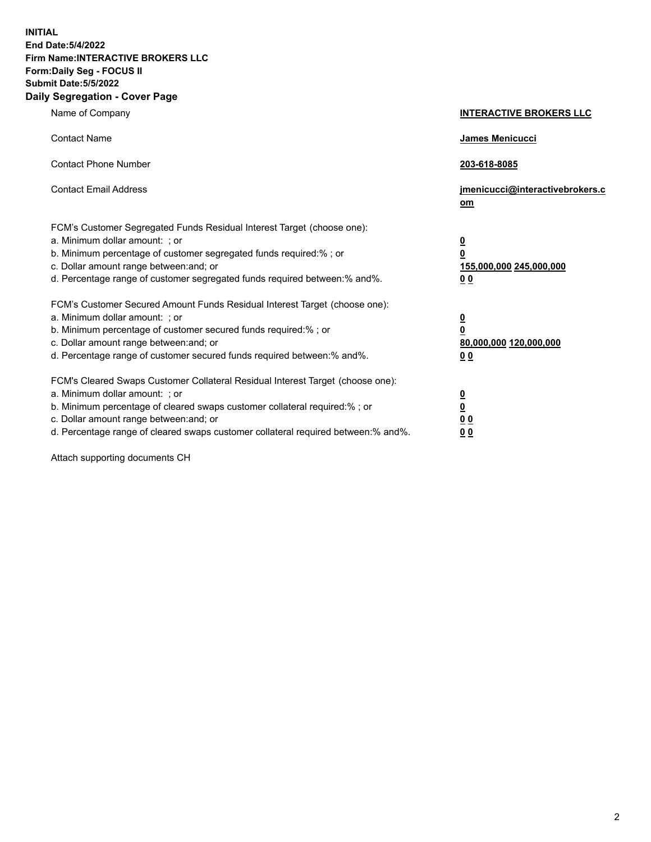**INITIAL End Date:5/4/2022 Firm Name:INTERACTIVE BROKERS LLC Form:Daily Seg - FOCUS II Submit Date:5/5/2022 Daily Segregation - Cover Page**

| Name of Company                                                                                                                                                                                                                                                                                                                | <b>INTERACTIVE BROKERS LLC</b>                                                                  |
|--------------------------------------------------------------------------------------------------------------------------------------------------------------------------------------------------------------------------------------------------------------------------------------------------------------------------------|-------------------------------------------------------------------------------------------------|
| <b>Contact Name</b>                                                                                                                                                                                                                                                                                                            | James Menicucci                                                                                 |
| <b>Contact Phone Number</b>                                                                                                                                                                                                                                                                                                    | 203-618-8085                                                                                    |
| <b>Contact Email Address</b>                                                                                                                                                                                                                                                                                                   | jmenicucci@interactivebrokers.c<br>om                                                           |
| FCM's Customer Segregated Funds Residual Interest Target (choose one):<br>a. Minimum dollar amount: : or<br>b. Minimum percentage of customer segregated funds required:% ; or<br>c. Dollar amount range between: and; or<br>d. Percentage range of customer segregated funds required between:% and%.                         | $\overline{\mathbf{0}}$<br>$\overline{\mathbf{0}}$<br>155,000,000 245,000,000<br>0 <sub>0</sub> |
| FCM's Customer Secured Amount Funds Residual Interest Target (choose one):<br>a. Minimum dollar amount: ; or<br>b. Minimum percentage of customer secured funds required:% ; or<br>c. Dollar amount range between: and; or<br>d. Percentage range of customer secured funds required between:% and%.                           | $\frac{0}{0}$<br>80,000,000 120,000,000<br>00                                                   |
| FCM's Cleared Swaps Customer Collateral Residual Interest Target (choose one):<br>a. Minimum dollar amount: ; or<br>b. Minimum percentage of cleared swaps customer collateral required:% ; or<br>c. Dollar amount range between: and; or<br>d. Percentage range of cleared swaps customer collateral required between:% and%. | $\overline{\mathbf{0}}$<br>$\underline{\mathbf{0}}$<br>0 <sub>0</sub><br>0 <sub>0</sub>         |

Attach supporting documents CH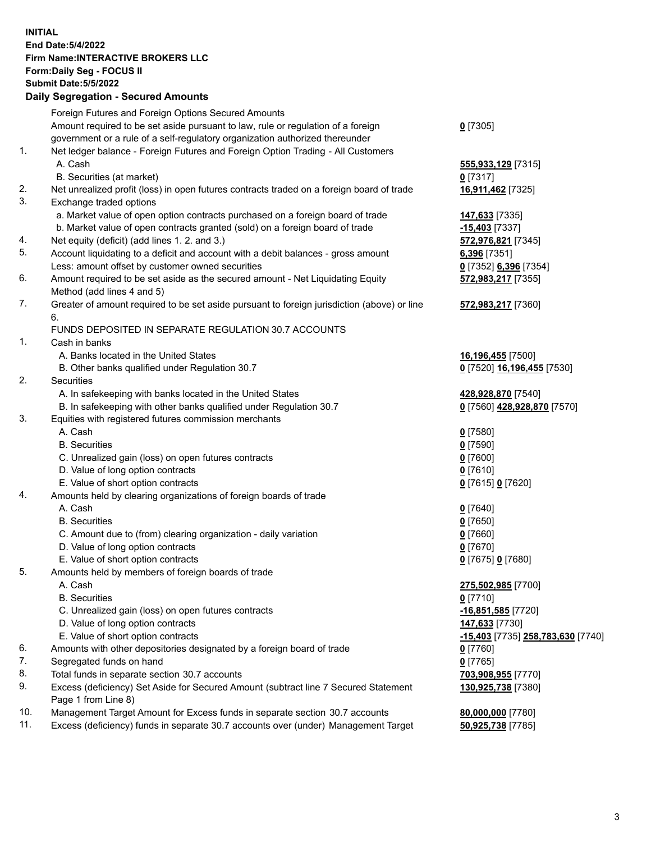**INITIAL End Date:5/4/2022 Firm Name:INTERACTIVE BROKERS LLC Form:Daily Seg - FOCUS II Submit Date:5/5/2022 Daily Segregation - Secured Amounts**

| Foreign Futures and Foreign Options Secured Amounts |                                                                                                                                                                                                                                                                                                                                                                                                                                                                                                                                                                                                                                                                                                                                                                                                                                                                                                                                                                                                                                                                                                                                                                                                                                                                                                                                                                                                                                                                                                                                                                                                                                                                                                                                                                                                                                                                                                                                                                                                                                                                                                                                                                                                                                                                                                                                                                                                                                                                              |
|-----------------------------------------------------|------------------------------------------------------------------------------------------------------------------------------------------------------------------------------------------------------------------------------------------------------------------------------------------------------------------------------------------------------------------------------------------------------------------------------------------------------------------------------------------------------------------------------------------------------------------------------------------------------------------------------------------------------------------------------------------------------------------------------------------------------------------------------------------------------------------------------------------------------------------------------------------------------------------------------------------------------------------------------------------------------------------------------------------------------------------------------------------------------------------------------------------------------------------------------------------------------------------------------------------------------------------------------------------------------------------------------------------------------------------------------------------------------------------------------------------------------------------------------------------------------------------------------------------------------------------------------------------------------------------------------------------------------------------------------------------------------------------------------------------------------------------------------------------------------------------------------------------------------------------------------------------------------------------------------------------------------------------------------------------------------------------------------------------------------------------------------------------------------------------------------------------------------------------------------------------------------------------------------------------------------------------------------------------------------------------------------------------------------------------------------------------------------------------------------------------------------------------------------|
|                                                     | $0$ [7305]                                                                                                                                                                                                                                                                                                                                                                                                                                                                                                                                                                                                                                                                                                                                                                                                                                                                                                                                                                                                                                                                                                                                                                                                                                                                                                                                                                                                                                                                                                                                                                                                                                                                                                                                                                                                                                                                                                                                                                                                                                                                                                                                                                                                                                                                                                                                                                                                                                                                   |
|                                                     |                                                                                                                                                                                                                                                                                                                                                                                                                                                                                                                                                                                                                                                                                                                                                                                                                                                                                                                                                                                                                                                                                                                                                                                                                                                                                                                                                                                                                                                                                                                                                                                                                                                                                                                                                                                                                                                                                                                                                                                                                                                                                                                                                                                                                                                                                                                                                                                                                                                                              |
|                                                     |                                                                                                                                                                                                                                                                                                                                                                                                                                                                                                                                                                                                                                                                                                                                                                                                                                                                                                                                                                                                                                                                                                                                                                                                                                                                                                                                                                                                                                                                                                                                                                                                                                                                                                                                                                                                                                                                                                                                                                                                                                                                                                                                                                                                                                                                                                                                                                                                                                                                              |
|                                                     | 555,933,129 [7315]                                                                                                                                                                                                                                                                                                                                                                                                                                                                                                                                                                                                                                                                                                                                                                                                                                                                                                                                                                                                                                                                                                                                                                                                                                                                                                                                                                                                                                                                                                                                                                                                                                                                                                                                                                                                                                                                                                                                                                                                                                                                                                                                                                                                                                                                                                                                                                                                                                                           |
|                                                     | $0$ [7317]                                                                                                                                                                                                                                                                                                                                                                                                                                                                                                                                                                                                                                                                                                                                                                                                                                                                                                                                                                                                                                                                                                                                                                                                                                                                                                                                                                                                                                                                                                                                                                                                                                                                                                                                                                                                                                                                                                                                                                                                                                                                                                                                                                                                                                                                                                                                                                                                                                                                   |
|                                                     | 16,911,462 [7325]                                                                                                                                                                                                                                                                                                                                                                                                                                                                                                                                                                                                                                                                                                                                                                                                                                                                                                                                                                                                                                                                                                                                                                                                                                                                                                                                                                                                                                                                                                                                                                                                                                                                                                                                                                                                                                                                                                                                                                                                                                                                                                                                                                                                                                                                                                                                                                                                                                                            |
|                                                     |                                                                                                                                                                                                                                                                                                                                                                                                                                                                                                                                                                                                                                                                                                                                                                                                                                                                                                                                                                                                                                                                                                                                                                                                                                                                                                                                                                                                                                                                                                                                                                                                                                                                                                                                                                                                                                                                                                                                                                                                                                                                                                                                                                                                                                                                                                                                                                                                                                                                              |
|                                                     | 147,633 [7335]                                                                                                                                                                                                                                                                                                                                                                                                                                                                                                                                                                                                                                                                                                                                                                                                                                                                                                                                                                                                                                                                                                                                                                                                                                                                                                                                                                                                                                                                                                                                                                                                                                                                                                                                                                                                                                                                                                                                                                                                                                                                                                                                                                                                                                                                                                                                                                                                                                                               |
|                                                     | -15,403 [7337]                                                                                                                                                                                                                                                                                                                                                                                                                                                                                                                                                                                                                                                                                                                                                                                                                                                                                                                                                                                                                                                                                                                                                                                                                                                                                                                                                                                                                                                                                                                                                                                                                                                                                                                                                                                                                                                                                                                                                                                                                                                                                                                                                                                                                                                                                                                                                                                                                                                               |
|                                                     | 572,976,821 [7345]                                                                                                                                                                                                                                                                                                                                                                                                                                                                                                                                                                                                                                                                                                                                                                                                                                                                                                                                                                                                                                                                                                                                                                                                                                                                                                                                                                                                                                                                                                                                                                                                                                                                                                                                                                                                                                                                                                                                                                                                                                                                                                                                                                                                                                                                                                                                                                                                                                                           |
|                                                     | 6,396 [7351]                                                                                                                                                                                                                                                                                                                                                                                                                                                                                                                                                                                                                                                                                                                                                                                                                                                                                                                                                                                                                                                                                                                                                                                                                                                                                                                                                                                                                                                                                                                                                                                                                                                                                                                                                                                                                                                                                                                                                                                                                                                                                                                                                                                                                                                                                                                                                                                                                                                                 |
|                                                     | 0 [7352] 6,396 [7354]                                                                                                                                                                                                                                                                                                                                                                                                                                                                                                                                                                                                                                                                                                                                                                                                                                                                                                                                                                                                                                                                                                                                                                                                                                                                                                                                                                                                                                                                                                                                                                                                                                                                                                                                                                                                                                                                                                                                                                                                                                                                                                                                                                                                                                                                                                                                                                                                                                                        |
|                                                     | 572,983,217 [7355]                                                                                                                                                                                                                                                                                                                                                                                                                                                                                                                                                                                                                                                                                                                                                                                                                                                                                                                                                                                                                                                                                                                                                                                                                                                                                                                                                                                                                                                                                                                                                                                                                                                                                                                                                                                                                                                                                                                                                                                                                                                                                                                                                                                                                                                                                                                                                                                                                                                           |
|                                                     |                                                                                                                                                                                                                                                                                                                                                                                                                                                                                                                                                                                                                                                                                                                                                                                                                                                                                                                                                                                                                                                                                                                                                                                                                                                                                                                                                                                                                                                                                                                                                                                                                                                                                                                                                                                                                                                                                                                                                                                                                                                                                                                                                                                                                                                                                                                                                                                                                                                                              |
|                                                     | 572,983,217 [7360]                                                                                                                                                                                                                                                                                                                                                                                                                                                                                                                                                                                                                                                                                                                                                                                                                                                                                                                                                                                                                                                                                                                                                                                                                                                                                                                                                                                                                                                                                                                                                                                                                                                                                                                                                                                                                                                                                                                                                                                                                                                                                                                                                                                                                                                                                                                                                                                                                                                           |
| 6.                                                  |                                                                                                                                                                                                                                                                                                                                                                                                                                                                                                                                                                                                                                                                                                                                                                                                                                                                                                                                                                                                                                                                                                                                                                                                                                                                                                                                                                                                                                                                                                                                                                                                                                                                                                                                                                                                                                                                                                                                                                                                                                                                                                                                                                                                                                                                                                                                                                                                                                                                              |
|                                                     |                                                                                                                                                                                                                                                                                                                                                                                                                                                                                                                                                                                                                                                                                                                                                                                                                                                                                                                                                                                                                                                                                                                                                                                                                                                                                                                                                                                                                                                                                                                                                                                                                                                                                                                                                                                                                                                                                                                                                                                                                                                                                                                                                                                                                                                                                                                                                                                                                                                                              |
|                                                     |                                                                                                                                                                                                                                                                                                                                                                                                                                                                                                                                                                                                                                                                                                                                                                                                                                                                                                                                                                                                                                                                                                                                                                                                                                                                                                                                                                                                                                                                                                                                                                                                                                                                                                                                                                                                                                                                                                                                                                                                                                                                                                                                                                                                                                                                                                                                                                                                                                                                              |
|                                                     | 16,196,455 [7500]                                                                                                                                                                                                                                                                                                                                                                                                                                                                                                                                                                                                                                                                                                                                                                                                                                                                                                                                                                                                                                                                                                                                                                                                                                                                                                                                                                                                                                                                                                                                                                                                                                                                                                                                                                                                                                                                                                                                                                                                                                                                                                                                                                                                                                                                                                                                                                                                                                                            |
|                                                     | 0 [7520] 16,196,455 [7530]                                                                                                                                                                                                                                                                                                                                                                                                                                                                                                                                                                                                                                                                                                                                                                                                                                                                                                                                                                                                                                                                                                                                                                                                                                                                                                                                                                                                                                                                                                                                                                                                                                                                                                                                                                                                                                                                                                                                                                                                                                                                                                                                                                                                                                                                                                                                                                                                                                                   |
|                                                     |                                                                                                                                                                                                                                                                                                                                                                                                                                                                                                                                                                                                                                                                                                                                                                                                                                                                                                                                                                                                                                                                                                                                                                                                                                                                                                                                                                                                                                                                                                                                                                                                                                                                                                                                                                                                                                                                                                                                                                                                                                                                                                                                                                                                                                                                                                                                                                                                                                                                              |
|                                                     | 428,928,870 [7540]                                                                                                                                                                                                                                                                                                                                                                                                                                                                                                                                                                                                                                                                                                                                                                                                                                                                                                                                                                                                                                                                                                                                                                                                                                                                                                                                                                                                                                                                                                                                                                                                                                                                                                                                                                                                                                                                                                                                                                                                                                                                                                                                                                                                                                                                                                                                                                                                                                                           |
|                                                     | 0 [7560] 428,928,870 [7570]                                                                                                                                                                                                                                                                                                                                                                                                                                                                                                                                                                                                                                                                                                                                                                                                                                                                                                                                                                                                                                                                                                                                                                                                                                                                                                                                                                                                                                                                                                                                                                                                                                                                                                                                                                                                                                                                                                                                                                                                                                                                                                                                                                                                                                                                                                                                                                                                                                                  |
|                                                     |                                                                                                                                                                                                                                                                                                                                                                                                                                                                                                                                                                                                                                                                                                                                                                                                                                                                                                                                                                                                                                                                                                                                                                                                                                                                                                                                                                                                                                                                                                                                                                                                                                                                                                                                                                                                                                                                                                                                                                                                                                                                                                                                                                                                                                                                                                                                                                                                                                                                              |
|                                                     | $0$ [7580]                                                                                                                                                                                                                                                                                                                                                                                                                                                                                                                                                                                                                                                                                                                                                                                                                                                                                                                                                                                                                                                                                                                                                                                                                                                                                                                                                                                                                                                                                                                                                                                                                                                                                                                                                                                                                                                                                                                                                                                                                                                                                                                                                                                                                                                                                                                                                                                                                                                                   |
|                                                     | $0$ [7590]                                                                                                                                                                                                                                                                                                                                                                                                                                                                                                                                                                                                                                                                                                                                                                                                                                                                                                                                                                                                                                                                                                                                                                                                                                                                                                                                                                                                                                                                                                                                                                                                                                                                                                                                                                                                                                                                                                                                                                                                                                                                                                                                                                                                                                                                                                                                                                                                                                                                   |
|                                                     | $0$ [7600]                                                                                                                                                                                                                                                                                                                                                                                                                                                                                                                                                                                                                                                                                                                                                                                                                                                                                                                                                                                                                                                                                                                                                                                                                                                                                                                                                                                                                                                                                                                                                                                                                                                                                                                                                                                                                                                                                                                                                                                                                                                                                                                                                                                                                                                                                                                                                                                                                                                                   |
|                                                     | $0$ [7610]                                                                                                                                                                                                                                                                                                                                                                                                                                                                                                                                                                                                                                                                                                                                                                                                                                                                                                                                                                                                                                                                                                                                                                                                                                                                                                                                                                                                                                                                                                                                                                                                                                                                                                                                                                                                                                                                                                                                                                                                                                                                                                                                                                                                                                                                                                                                                                                                                                                                   |
|                                                     | 0 [7615] 0 [7620]                                                                                                                                                                                                                                                                                                                                                                                                                                                                                                                                                                                                                                                                                                                                                                                                                                                                                                                                                                                                                                                                                                                                                                                                                                                                                                                                                                                                                                                                                                                                                                                                                                                                                                                                                                                                                                                                                                                                                                                                                                                                                                                                                                                                                                                                                                                                                                                                                                                            |
|                                                     |                                                                                                                                                                                                                                                                                                                                                                                                                                                                                                                                                                                                                                                                                                                                                                                                                                                                                                                                                                                                                                                                                                                                                                                                                                                                                                                                                                                                                                                                                                                                                                                                                                                                                                                                                                                                                                                                                                                                                                                                                                                                                                                                                                                                                                                                                                                                                                                                                                                                              |
|                                                     | $0$ [7640]                                                                                                                                                                                                                                                                                                                                                                                                                                                                                                                                                                                                                                                                                                                                                                                                                                                                                                                                                                                                                                                                                                                                                                                                                                                                                                                                                                                                                                                                                                                                                                                                                                                                                                                                                                                                                                                                                                                                                                                                                                                                                                                                                                                                                                                                                                                                                                                                                                                                   |
|                                                     | $0$ [7650]                                                                                                                                                                                                                                                                                                                                                                                                                                                                                                                                                                                                                                                                                                                                                                                                                                                                                                                                                                                                                                                                                                                                                                                                                                                                                                                                                                                                                                                                                                                                                                                                                                                                                                                                                                                                                                                                                                                                                                                                                                                                                                                                                                                                                                                                                                                                                                                                                                                                   |
|                                                     | $0$ [7660]                                                                                                                                                                                                                                                                                                                                                                                                                                                                                                                                                                                                                                                                                                                                                                                                                                                                                                                                                                                                                                                                                                                                                                                                                                                                                                                                                                                                                                                                                                                                                                                                                                                                                                                                                                                                                                                                                                                                                                                                                                                                                                                                                                                                                                                                                                                                                                                                                                                                   |
|                                                     | $0$ [7670]                                                                                                                                                                                                                                                                                                                                                                                                                                                                                                                                                                                                                                                                                                                                                                                                                                                                                                                                                                                                                                                                                                                                                                                                                                                                                                                                                                                                                                                                                                                                                                                                                                                                                                                                                                                                                                                                                                                                                                                                                                                                                                                                                                                                                                                                                                                                                                                                                                                                   |
|                                                     | 0 [7675] 0 [7680]                                                                                                                                                                                                                                                                                                                                                                                                                                                                                                                                                                                                                                                                                                                                                                                                                                                                                                                                                                                                                                                                                                                                                                                                                                                                                                                                                                                                                                                                                                                                                                                                                                                                                                                                                                                                                                                                                                                                                                                                                                                                                                                                                                                                                                                                                                                                                                                                                                                            |
|                                                     |                                                                                                                                                                                                                                                                                                                                                                                                                                                                                                                                                                                                                                                                                                                                                                                                                                                                                                                                                                                                                                                                                                                                                                                                                                                                                                                                                                                                                                                                                                                                                                                                                                                                                                                                                                                                                                                                                                                                                                                                                                                                                                                                                                                                                                                                                                                                                                                                                                                                              |
|                                                     | 275,502,985 [7700]                                                                                                                                                                                                                                                                                                                                                                                                                                                                                                                                                                                                                                                                                                                                                                                                                                                                                                                                                                                                                                                                                                                                                                                                                                                                                                                                                                                                                                                                                                                                                                                                                                                                                                                                                                                                                                                                                                                                                                                                                                                                                                                                                                                                                                                                                                                                                                                                                                                           |
|                                                     | $0$ [7710]                                                                                                                                                                                                                                                                                                                                                                                                                                                                                                                                                                                                                                                                                                                                                                                                                                                                                                                                                                                                                                                                                                                                                                                                                                                                                                                                                                                                                                                                                                                                                                                                                                                                                                                                                                                                                                                                                                                                                                                                                                                                                                                                                                                                                                                                                                                                                                                                                                                                   |
|                                                     | -16,851,585 [7720]                                                                                                                                                                                                                                                                                                                                                                                                                                                                                                                                                                                                                                                                                                                                                                                                                                                                                                                                                                                                                                                                                                                                                                                                                                                                                                                                                                                                                                                                                                                                                                                                                                                                                                                                                                                                                                                                                                                                                                                                                                                                                                                                                                                                                                                                                                                                                                                                                                                           |
|                                                     | 147,633 [7730]                                                                                                                                                                                                                                                                                                                                                                                                                                                                                                                                                                                                                                                                                                                                                                                                                                                                                                                                                                                                                                                                                                                                                                                                                                                                                                                                                                                                                                                                                                                                                                                                                                                                                                                                                                                                                                                                                                                                                                                                                                                                                                                                                                                                                                                                                                                                                                                                                                                               |
|                                                     | <u>-15,403</u> [7735] 258,783,630 [7740]                                                                                                                                                                                                                                                                                                                                                                                                                                                                                                                                                                                                                                                                                                                                                                                                                                                                                                                                                                                                                                                                                                                                                                                                                                                                                                                                                                                                                                                                                                                                                                                                                                                                                                                                                                                                                                                                                                                                                                                                                                                                                                                                                                                                                                                                                                                                                                                                                                     |
|                                                     | 0 [7760]                                                                                                                                                                                                                                                                                                                                                                                                                                                                                                                                                                                                                                                                                                                                                                                                                                                                                                                                                                                                                                                                                                                                                                                                                                                                                                                                                                                                                                                                                                                                                                                                                                                                                                                                                                                                                                                                                                                                                                                                                                                                                                                                                                                                                                                                                                                                                                                                                                                                     |
|                                                     | $0$ [7765]                                                                                                                                                                                                                                                                                                                                                                                                                                                                                                                                                                                                                                                                                                                                                                                                                                                                                                                                                                                                                                                                                                                                                                                                                                                                                                                                                                                                                                                                                                                                                                                                                                                                                                                                                                                                                                                                                                                                                                                                                                                                                                                                                                                                                                                                                                                                                                                                                                                                   |
|                                                     | 703,908,955 [7770]                                                                                                                                                                                                                                                                                                                                                                                                                                                                                                                                                                                                                                                                                                                                                                                                                                                                                                                                                                                                                                                                                                                                                                                                                                                                                                                                                                                                                                                                                                                                                                                                                                                                                                                                                                                                                                                                                                                                                                                                                                                                                                                                                                                                                                                                                                                                                                                                                                                           |
|                                                     | 130,925,738 [7380]                                                                                                                                                                                                                                                                                                                                                                                                                                                                                                                                                                                                                                                                                                                                                                                                                                                                                                                                                                                                                                                                                                                                                                                                                                                                                                                                                                                                                                                                                                                                                                                                                                                                                                                                                                                                                                                                                                                                                                                                                                                                                                                                                                                                                                                                                                                                                                                                                                                           |
|                                                     |                                                                                                                                                                                                                                                                                                                                                                                                                                                                                                                                                                                                                                                                                                                                                                                                                                                                                                                                                                                                                                                                                                                                                                                                                                                                                                                                                                                                                                                                                                                                                                                                                                                                                                                                                                                                                                                                                                                                                                                                                                                                                                                                                                                                                                                                                                                                                                                                                                                                              |
|                                                     | 80,000,000 [7780]                                                                                                                                                                                                                                                                                                                                                                                                                                                                                                                                                                                                                                                                                                                                                                                                                                                                                                                                                                                                                                                                                                                                                                                                                                                                                                                                                                                                                                                                                                                                                                                                                                                                                                                                                                                                                                                                                                                                                                                                                                                                                                                                                                                                                                                                                                                                                                                                                                                            |
|                                                     | 50,925,738 [7785]                                                                                                                                                                                                                                                                                                                                                                                                                                                                                                                                                                                                                                                                                                                                                                                                                                                                                                                                                                                                                                                                                                                                                                                                                                                                                                                                                                                                                                                                                                                                                                                                                                                                                                                                                                                                                                                                                                                                                                                                                                                                                                                                                                                                                                                                                                                                                                                                                                                            |
|                                                     | Amount required to be set aside pursuant to law, rule or regulation of a foreign<br>government or a rule of a self-regulatory organization authorized thereunder<br>Net ledger balance - Foreign Futures and Foreign Option Trading - All Customers<br>A. Cash<br>B. Securities (at market)<br>Net unrealized profit (loss) in open futures contracts traded on a foreign board of trade<br>Exchange traded options<br>a. Market value of open option contracts purchased on a foreign board of trade<br>b. Market value of open contracts granted (sold) on a foreign board of trade<br>Net equity (deficit) (add lines 1. 2. and 3.)<br>Account liquidating to a deficit and account with a debit balances - gross amount<br>Less: amount offset by customer owned securities<br>Amount required to be set aside as the secured amount - Net Liquidating Equity<br>Method (add lines 4 and 5)<br>Greater of amount required to be set aside pursuant to foreign jurisdiction (above) or line<br>FUNDS DEPOSITED IN SEPARATE REGULATION 30.7 ACCOUNTS<br>Cash in banks<br>A. Banks located in the United States<br>B. Other banks qualified under Regulation 30.7<br>Securities<br>A. In safekeeping with banks located in the United States<br>B. In safekeeping with other banks qualified under Regulation 30.7<br>Equities with registered futures commission merchants<br>A. Cash<br><b>B.</b> Securities<br>C. Unrealized gain (loss) on open futures contracts<br>D. Value of long option contracts<br>E. Value of short option contracts<br>Amounts held by clearing organizations of foreign boards of trade<br>A. Cash<br><b>B.</b> Securities<br>C. Amount due to (from) clearing organization - daily variation<br>D. Value of long option contracts<br>E. Value of short option contracts<br>Amounts held by members of foreign boards of trade<br>A. Cash<br><b>B.</b> Securities<br>C. Unrealized gain (loss) on open futures contracts<br>D. Value of long option contracts<br>E. Value of short option contracts<br>Amounts with other depositories designated by a foreign board of trade<br>Segregated funds on hand<br>Total funds in separate section 30.7 accounts<br>Excess (deficiency) Set Aside for Secured Amount (subtract line 7 Secured Statement<br>Page 1 from Line 8)<br>Management Target Amount for Excess funds in separate section 30.7 accounts<br>Excess (deficiency) funds in separate 30.7 accounts over (under) Management Target |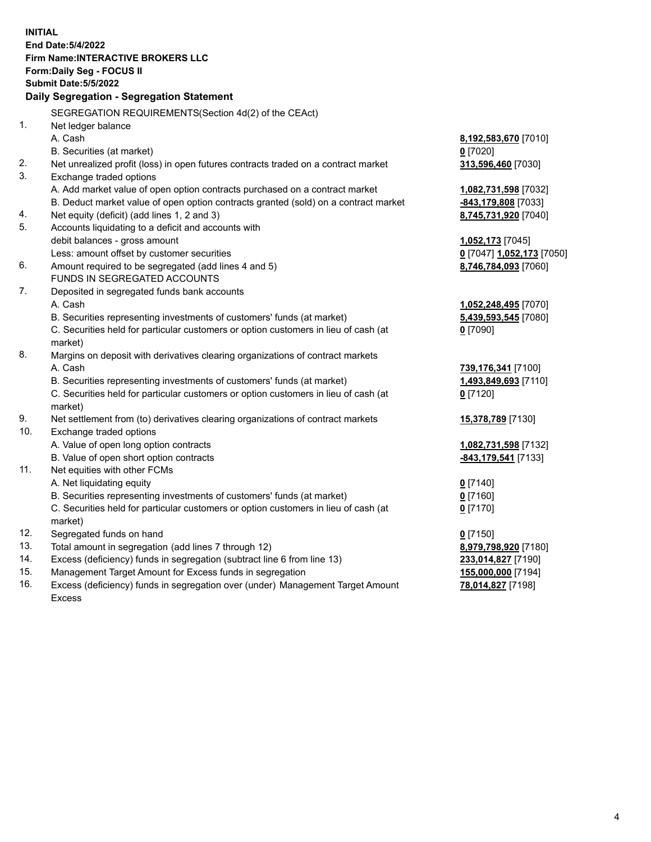**INITIAL End Date:5/4/2022 Firm Name:INTERACTIVE BROKERS LLC Form:Daily Seg - FOCUS II Submit Date:5/5/2022 Daily Segregation - Segregation Statement** SEGREGATION REQUIREMENTS(Section 4d(2) of the CEAct) 1. Net ledger balance A. Cash **8,192,583,670** [7010] B. Securities (at market) **0** [7020] 2. Net unrealized profit (loss) in open futures contracts traded on a contract market **313,596,460** [7030] 3. Exchange traded options A. Add market value of open option contracts purchased on a contract market **1,082,731,598** [7032] B. Deduct market value of open option contracts granted (sold) on a contract market **-843,179,808** [7033] 4. Net equity (deficit) (add lines 1, 2 and 3) **8,745,731,920** [7040] 5. Accounts liquidating to a deficit and accounts with debit balances - gross amount **1,052,173** [7045] Less: amount offset by customer securities **0** [7047] **1,052,173** [7050] 6. Amount required to be segregated (add lines 4 and 5) **8,746,784,093** [7060] FUNDS IN SEGREGATED ACCOUNTS 7. Deposited in segregated funds bank accounts A. Cash **1,052,248,495** [7070] B. Securities representing investments of customers' funds (at market) **5,439,593,545** [7080] C. Securities held for particular customers or option customers in lieu of cash (at market) **0** [7090] 8. Margins on deposit with derivatives clearing organizations of contract markets A. Cash **739,176,341** [7100] B. Securities representing investments of customers' funds (at market) **1,493,849,693** [7110] C. Securities held for particular customers or option customers in lieu of cash (at market) **0** [7120] 9. Net settlement from (to) derivatives clearing organizations of contract markets **15,378,789** [7130] 10. Exchange traded options A. Value of open long option contracts **1,082,731,598** [7132] B. Value of open short option contracts **-843,179,541** [7133] 11. Net equities with other FCMs A. Net liquidating equity **0** [7140] B. Securities representing investments of customers' funds (at market) **0** [7160] C. Securities held for particular customers or option customers in lieu of cash (at market) **0** [7170] 12. Segregated funds on hand **0** [7150] 13. Total amount in segregation (add lines 7 through 12) **8,979,798,920** [7180] 14. Excess (deficiency) funds in segregation (subtract line 6 from line 13) **233,014,827** [7190] 15. Management Target Amount for Excess funds in segregation **155,000,000** [7194] 16. Excess (deficiency) funds in segregation over (under) Management Target Amount Excess **78,014,827** [7198]